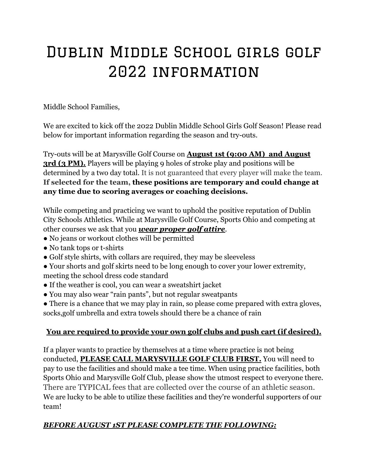## Dublin Middle School girls golf 2022 information

Middle School Families,

We are excited to kick off the 2022 Dublin Middle School Girls Golf Season! Please read below for important information regarding the season and try-outs.

Try-outs will be at Marysville Golf Course on **August 1st (9:00 AM) and August 3rd (3 PM).** Players will be playing 9 holes of stroke play and positions will be determined by a two day total. It is not guaranteed that every player will make the team. **If selected for the team, these positions are temporary and could change at any time due to scoring averages or coaching decisions.**

While competing and practicing we want to uphold the positive reputation of Dublin City Schools Athletics. While at Marysville Golf Course, Sports Ohio and competing at other courses we ask that you *wear proper golf attire*.

- No jeans or workout clothes will be permitted
- No tank tops or t-shirts
- Golf style shirts, with collars are required, they may be sleeveless
- Your shorts and golf skirts need to be long enough to cover your lower extremity, meeting the school dress code standard
- If the weather is cool, you can wear a sweatshirt jacket
- You may also wear "rain pants", but not regular sweatpants
- There is a chance that we may play in rain, so please come prepared with extra gloves, socks,golf umbrella and extra towels should there be a chance of rain

## **You are required to provide your own golf clubs and push cart (if desired).**

If a player wants to practice by themselves at a time where practice is not being conducted, **PLEASE CALL MARYSVILLE GOLF CLUB FIRST.** You will need to pay to use the facilities and should make a tee time. When using practice facilities, both Sports Ohio and Marysville Golf Club, please show the utmost respect to everyone there. There are TYPICAL fees that are collected over the course of an athletic season. We are lucky to be able to utilize these facilities and they're wonderful supporters of our team!

## *BEFORE AUGUST 1ST PLEASE COMPLETE THE FOLLOWING:*